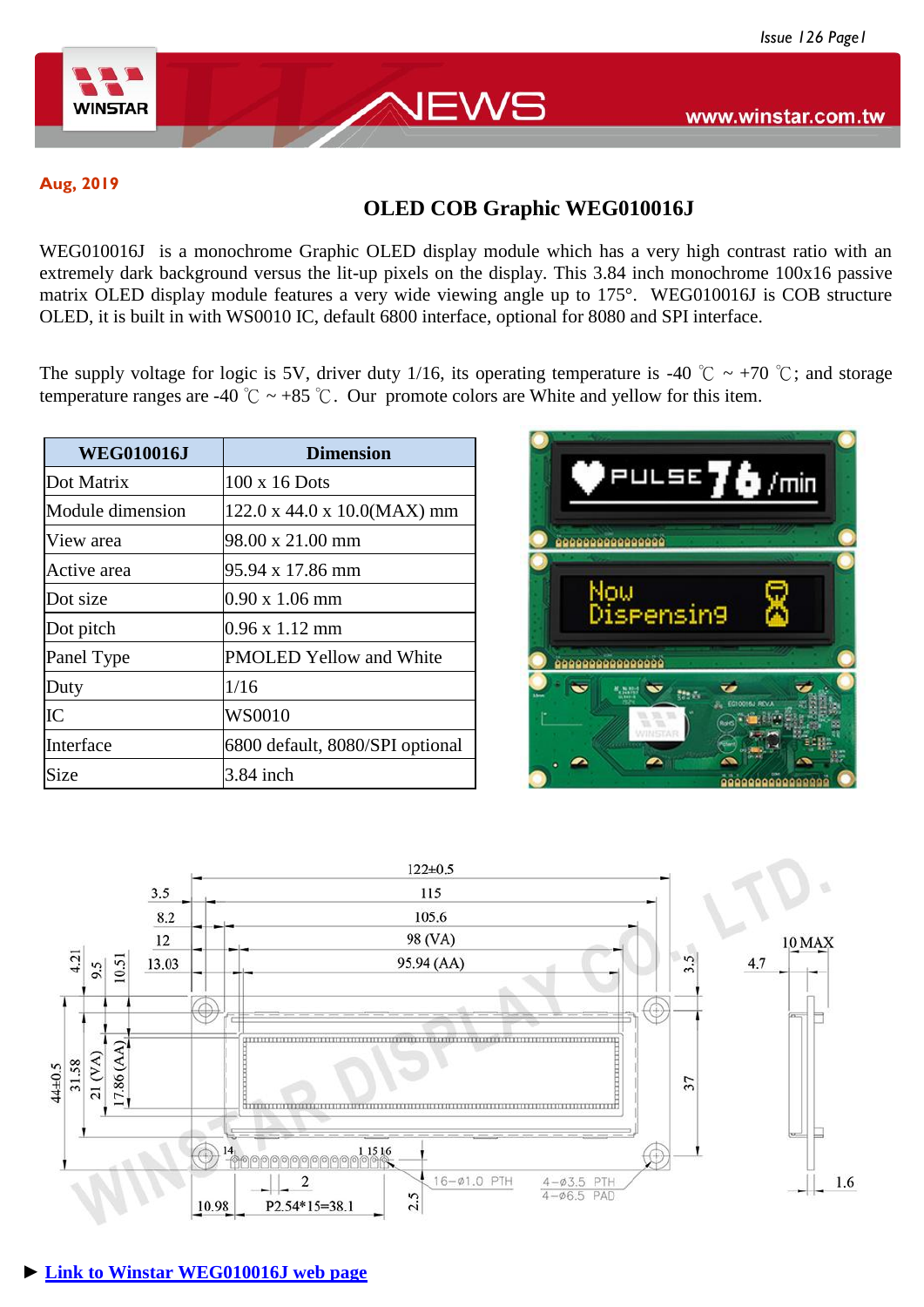

www.winstar.com.tw

**Aug, 2019**

# **OLED COB Graphic WEG010016J**

EWS

WEG010016J is a monochrome Graphic OLED display module which has a very high contrast ratio with an extremely dark background versus the lit-up pixels on the display. This 3.84 inch monochrome 100x16 passive matrix OLED display module features a very wide viewing angle up to 175°. WEG010016J is COB structure OLED, it is built in with WS0010 IC, default 6800 interface, optional for 8080 and SPI interface.

The supply voltage for logic is 5V, driver duty 1/16, its operating temperature is -40 °C ~ +70 °C; and storage temperature ranges are -40  $\degree$ C ~ +85  $\degree$ C. Our promote colors are White and yellow for this item.

| <b>WEG010016J</b> | <b>Dimension</b>                        |
|-------------------|-----------------------------------------|
| Dot Matrix        | 100 x 16 Dots                           |
| Module dimension  | $122.0 \times 44.0 \times 10.0(MAX)$ mm |
| View area         | 98.00 x 21.00 mm                        |
| Active area       | 95.94 x 17.86 mm                        |
| Dot size          | $0.90 \times 1.06 \text{ mm}$           |
| Dot pitch         | $0.96 \times 1.12 \text{ mm}$           |
| Panel Type        | <b>PMOLED Yellow and White</b>          |
| Duty              | 1/16                                    |
| IC                | WS0010                                  |
| Interface         | 6800 default, 8080/SPI optional         |
| Size              | 3.84 inch                               |



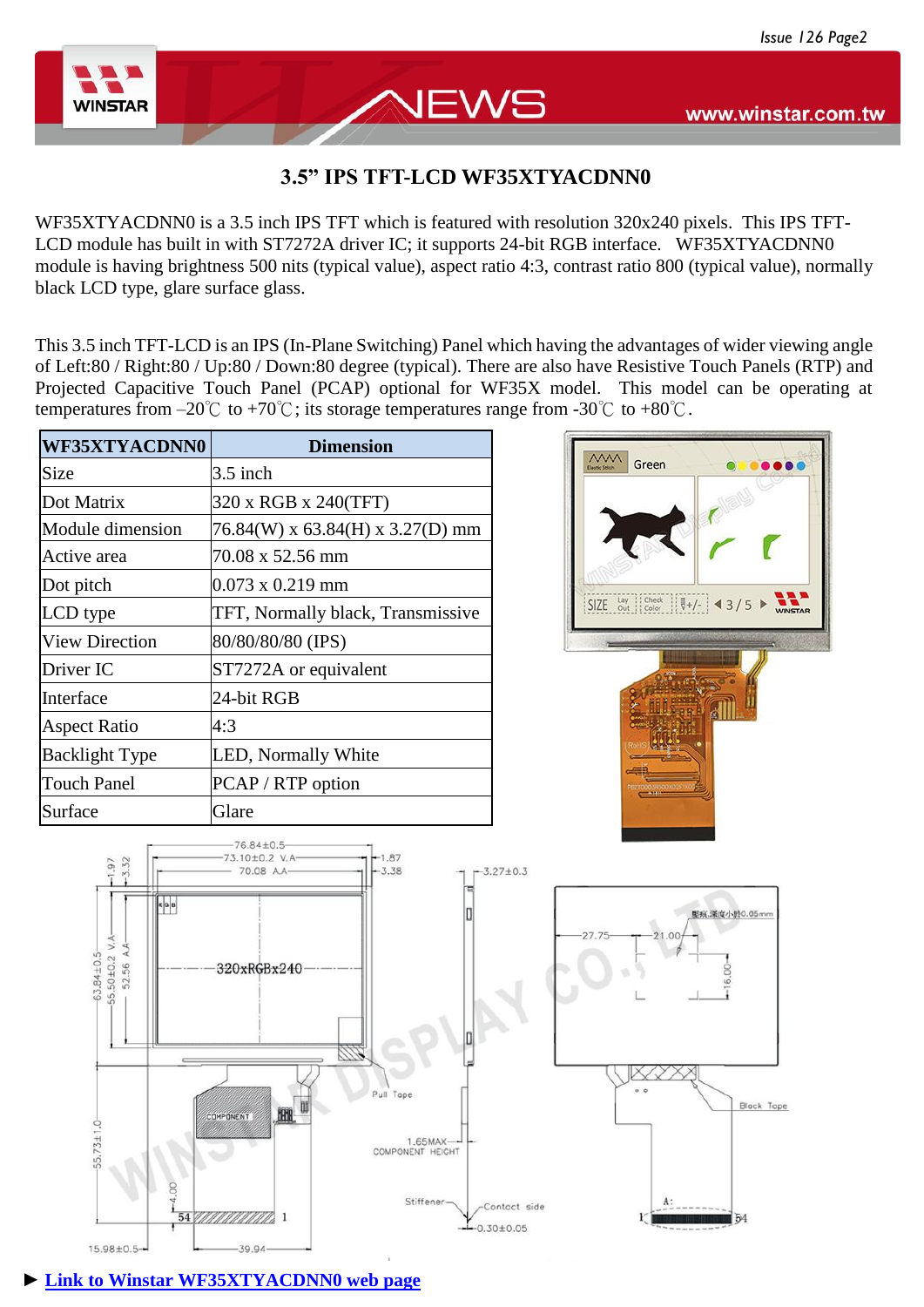

 $3.32$ 97

55.50±0.2 V.A A.A.

63.84+0.5 52.56

 $55.73 + 1.0$ 

15.98±0.5-

RGB

# www.winstar.com.tw

...

## **3.5" IPS TFT-LCD WF35XTYACDNN0**

WS

WF35XTYACDNN0 is a 3.5 inch IPS TFT which is featured with resolution 320x240 pixels. This IPS TFT-LCD module has built in with ST7272A driver IC; it supports 24-bit RGB interface. WF35XTYACDNN0 module is having brightness 500 nits (typical value), aspect ratio 4:3, contrast ratio 800 (typical value), normally black LCD type, glare surface glass.

This 3.5 inch TFT-LCD is an IPS (In-Plane Switching) Panel which having the advantages of wider viewing angle of Left:80 / Right:80 / Up:80 / Down:80 degree (typical). There are also have Resistive Touch Panels (RTP) and Projected Capacitive Touch Panel (PCAP) optional for WF35X model. This model can be operating at temperatures from –20°C to +70°C; its storage temperatures range from -30°C to +80°C.

| <b>WF35XTYACDNN0</b>  | <b>Dimension</b>                  |
|-----------------------|-----------------------------------|
| Size                  | $3.5$ inch                        |
| Dot Matrix            | 320 x RGB x 240(TFT)              |
| Module dimension      | 76.84(W) x 63.84(H) x 3.27(D) mm  |
| Active area           | 70.08 x 52.56 mm                  |
| Dot pitch             | $0.073 \times 0.219$ mm           |
| LCD type              | TFT, Normally black, Transmissive |
| <b>View Direction</b> | 80/80/80/80 (IPS)                 |
| Driver IC             | ST7272A or equivalent             |
| Interface             | 24-bit RGB                        |
| <b>Aspect Ratio</b>   | 4:3                               |
| <b>Backlight Type</b> | LED, Normally White               |
| <b>Touch Panel</b>    | PCAP / RTP option                 |
| Surface               | Glare                             |



**MM** 

Green

#### **► [Link to Winstar WF35XTYACDNN0 web page](https://www.winstar.com.tw/products/tft-lcd/ips-tft/3_5-tft.html)**

 $-39.94$ 

54